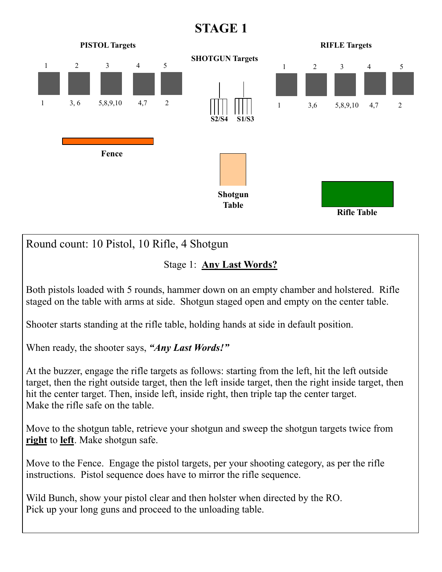## **STAGE 1**



Round count: 10 Pistol, 10 Rifle, 4 Shotgun

Stage 1: **Any Last Words?** 

Both pistols loaded with 5 rounds, hammer down on an empty chamber and holstered. Rifle staged on the table with arms at side. Shotgun staged open and empty on the center table.

Shooter starts standing at the rifle table, holding hands at side in default position.

When ready, the shooter says, *"Any Last Words!"*

At the buzzer, engage the rifle targets as follows: starting from the left, hit the left outside target, then the right outside target, then the left inside target, then the right inside target, then hit the center target. Then, inside left, inside right, then triple tap the center target. Make the rifle safe on the table.

Move to the shotgun table, retrieve your shotgun and sweep the shotgun targets twice from **right** to **left**. Make shotgun safe.

Move to the Fence. Engage the pistol targets, per your shooting category, as per the rifle instructions. Pistol sequence does have to mirror the rifle sequence.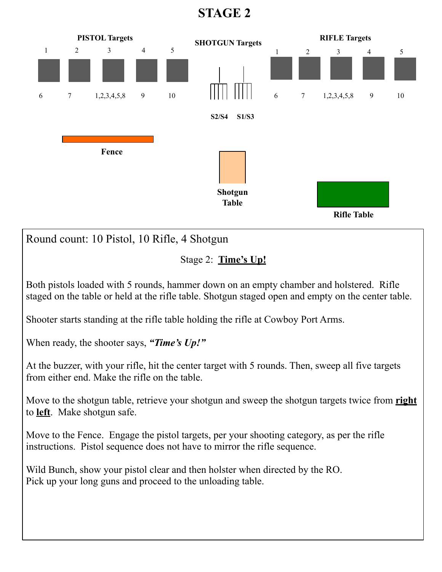**STAGE 2** 



Both pistols loaded with 5 rounds, hammer down on an empty chamber and holstered. Rifle staged on the table or held at the rifle table. Shotgun staged open and empty on the center table.

Shooter starts standing at the rifle table holding the rifle at Cowboy Port Arms.

When ready, the shooter says, *"Time's Up!"*

At the buzzer, with your rifle, hit the center target with 5 rounds. Then, sweep all five targets from either end. Make the rifle on the table.

Move to the shotgun table, retrieve your shotgun and sweep the shotgun targets twice from **right** to **left**. Make shotgun safe.

Move to the Fence. Engage the pistol targets, per your shooting category, as per the rifle instructions. Pistol sequence does not have to mirror the rifle sequence.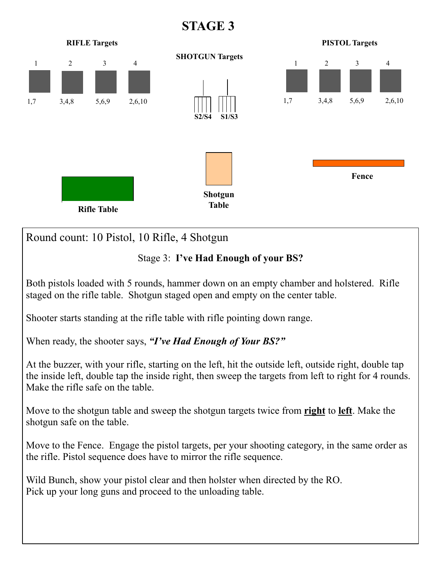**STAGE 3** 



Both pistols loaded with 5 rounds, hammer down on an empty chamber and holstered. Rifle staged on the rifle table. Shotgun staged open and empty on the center table.

Shooter starts standing at the rifle table with rifle pointing down range.

When ready, the shooter says, *"I've Had Enough of Your BS?"*

At the buzzer, with your rifle, starting on the left, hit the outside left, outside right, double tap the inside left, double tap the inside right, then sweep the targets from left to right for 4 rounds. Make the rifle safe on the table.

Move to the shotgun table and sweep the shotgun targets twice from **right** to **left**. Make the shotgun safe on the table.

Move to the Fence. Engage the pistol targets, per your shooting category, in the same order as the rifle. Pistol sequence does have to mirror the rifle sequence.